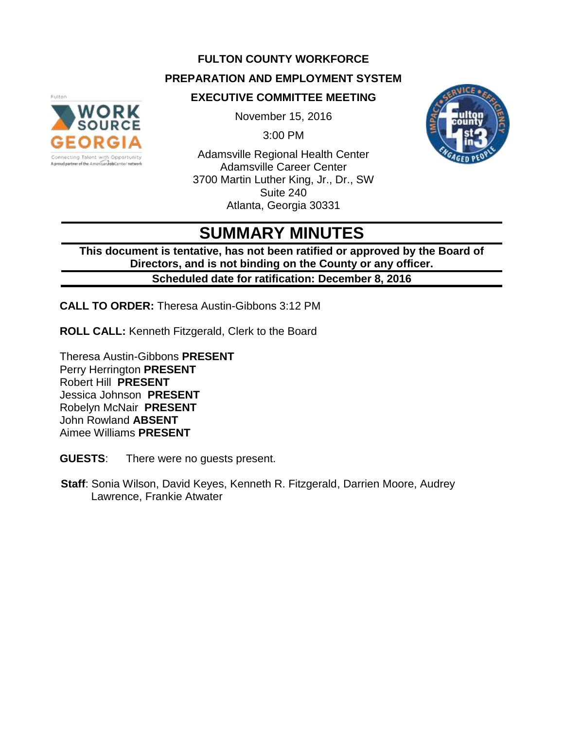### **FULTON COUNTY WORKFORCE**

### **PREPARATION AND EMPLOYMENT SYSTEM**

## **EXECUTIVE COMMITTEE MEETING**



November 15, 2016

3:00 PM

Adamsville Regional Health Center Adamsville Career Center 3700 Martin Luther King, Jr., Dr., SW Suite 240 Atlanta, Georgia 30331



# **SUMMARY MINUTES**

**This document is tentative, has not been ratified or approved by the Board of Directors, and is not binding on the County or any officer. Scheduled date for ratification: December 8, 2016** 

**CALL TO ORDER:** Theresa Austin-Gibbons 3:12 PM

**ROLL CALL:** Kenneth Fitzgerald, Clerk to the Board

Theresa Austin-Gibbons **PRESENT** Perry Herrington **PRESENT** Robert Hill **PRESENT** Jessica Johnson **PRESENT** Robelyn McNair **PRESENT** John Rowland **ABSENT** Aimee Williams **PRESENT**

**GUESTS**: There were no guests present.

**Staff**: Sonia Wilson, David Keyes, Kenneth R. Fitzgerald, Darrien Moore, Audrey Lawrence, Frankie Atwater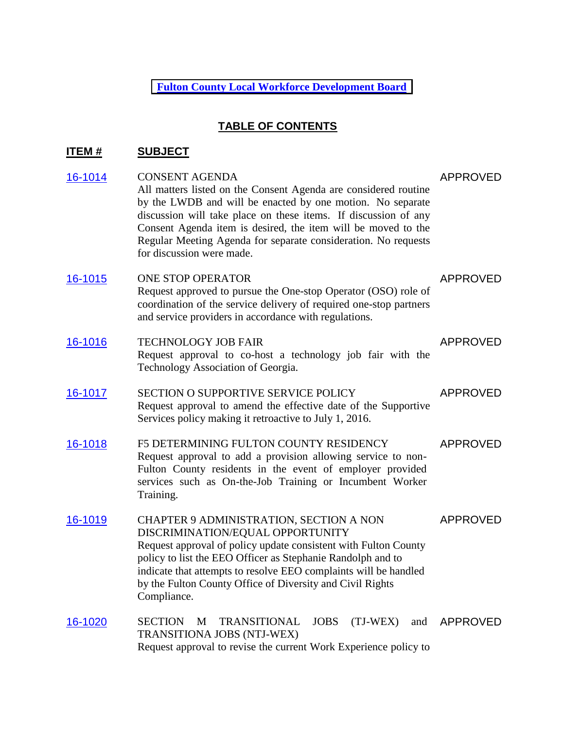**[Fulton](http://agendaminutes.fultoncountyga.gov/sirepub/agdocs.aspx?doctype=minutes&itemid=30105) County Local Workforce Development Board**

## **TABLE OF CONTENTS**

# **ITEM # SUBJECT**

| 16-1014 | <b>CONSENT AGENDA</b><br>All matters listed on the Consent Agenda are considered routine<br>by the LWDB and will be enacted by one motion. No separate<br>discussion will take place on these items. If discussion of any<br>Consent Agenda item is desired, the item will be moved to the<br>Regular Meeting Agenda for separate consideration. No requests<br>for discussion were made. | <b>APPROVED</b> |
|---------|-------------------------------------------------------------------------------------------------------------------------------------------------------------------------------------------------------------------------------------------------------------------------------------------------------------------------------------------------------------------------------------------|-----------------|
| 16-1015 | ONE STOP OPERATOR<br>Request approved to pursue the One-stop Operator (OSO) role of<br>coordination of the service delivery of required one-stop partners<br>and service providers in accordance with regulations.                                                                                                                                                                        | <b>APPROVED</b> |
| 16-1016 | <b>TECHNOLOGY JOB FAIR</b><br>Request approval to co-host a technology job fair with the<br>Technology Association of Georgia.                                                                                                                                                                                                                                                            | <b>APPROVED</b> |
| 16-1017 | SECTION O SUPPORTIVE SERVICE POLICY<br>Request approval to amend the effective date of the Supportive<br>Services policy making it retroactive to July 1, 2016.                                                                                                                                                                                                                           | APPROVED        |
| 16-1018 | F5 DETERMINING FULTON COUNTY RESIDENCY<br>Request approval to add a provision allowing service to non-<br>Fulton County residents in the event of employer provided<br>services such as On-the-Job Training or Incumbent Worker<br>Training.                                                                                                                                              | <b>APPROVED</b> |
| 16-1019 | CHAPTER 9 ADMINISTRATION, SECTION A NON<br>DISCRIMINATION/EQUAL OPPORTUNITY<br>Request approval of policy update consistent with Fulton County<br>policy to list the EEO Officer as Stephanie Randolph and to<br>indicate that attempts to resolve EEO complaints will be handled<br>by the Fulton County Office of Diversity and Civil Rights<br>Compliance.                             | <b>APPROVED</b> |
| 16-1020 | <b>SECTION</b><br><b>JOBS</b><br>$(TJ-WEX)$<br><b>TRANSITIONAL</b><br>M<br>and<br>TRANSITIONA JOBS (NTJ-WEX)<br>Request approval to revise the current Work Experience policy to                                                                                                                                                                                                          | APPROVED        |